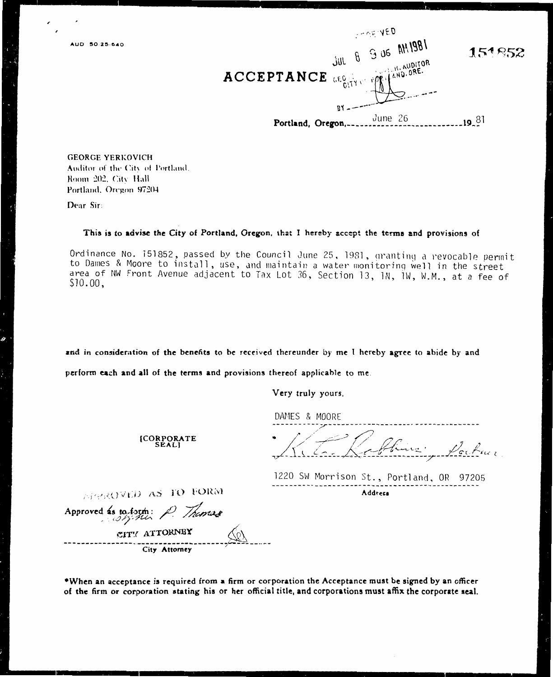$-0.5 - 4.5D$  $B$  3 UG AH1981 151853 Jlií. H. AUDITOR AND, ORE. ACCEPTANCE GEG June 26  $19.81$ Portland, Oregon,.

**GEORGE YERKOVICH** Auditor of the City of Portland. Room 202, City Hall Portland, Oregon 97204

Dear Sir:

## This is to advise the City of Portland, Oregon, that I hereby accept the terms and provisions of

Ordinance No. 151852, passed by the Council June 25, 1981, granting a revocable permit to Dames & Moore to install, use, and maintain a water monitoring well in the street area of NW Front Avenue adjacent to Tax Lot 36, Section 13, 1N, 1W, W.M., at a fee of  $$10.00,$ 

and in consideration of the benefits to be received thereunder by me I hereby agree to abide by and

perform each and all of the terms and provisions thereof applicable to me.

Very truly yours,

DAMES & MOORE

1220 SW Morrison St., Portland, OR 97205 Address

**[CORPORATE SEALI** 

APPROVED AS TO FORM

Approved as to form: Themas CITY ATTORNEY City Attorney

\*When an acceptance is required from a firm or corporation the Acceptance must be signed by an officer of the firm or corporation stating his or her official title, and corporations must affix the corporate seal.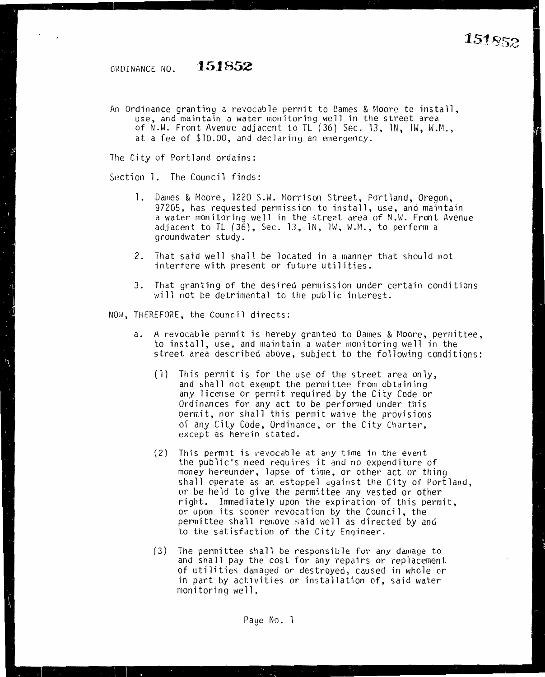ORDINANCE NO. **1.51852** 

An Ordinance granting a revocable permit to Dames & Moore to install, use, and maintain a water monitoring well in the street area of N.W. Front Avenue adjacent to TL (36) Sec. 13, lN, lW, h'.M., at a fee of \$10.00, and declaring an emergency.

*The* City of Portland ordains:

Section 1. The Council finds:

- l. Dames & Moore, 1220 S.W. Morrison Street, Portland, Oregon, 97205, has requested permission to install, use, and maintain a water monitoring well in the street area of N.W. Front Avenue adjacent to TL  $(36)$ , Sec. 13, 1N, 1W, W.M., to perform a groundwater study.
- 2. That said well shall be located in a manner that should not interfere with present or future utilities.
- 3. That granting of the desired permission under certain conditions will not be detrimental to the public interest.

NOW, THEREFORE, the Council directs:

- a. A revocable permit is hereby granted to Dames & Moore, permittee, to install, use, and maintain a water monitoring well in the street area described above, subject to the following conditions:
	- (1) This permit is for the use of the street area only, and shall not exempt the permittee from obtaining any license or permit required by the City Code or Ordinances for any act to be performed under this permit, nor shall this permit waive the provisions of any City Code, Ordinance, or the City Charter, except as herein stated.
	- (2) This permit is revocable at any time in the event the public's need requires it and no expenditure of money hereunder, lapse of time, or other act or thing shall operate as an estoppel against the City of Portland, or be held to give the permittee any vested or other right. Immediately upon the expiration of this permit, or upon its sooner revocation *by* the Council, the permittee shall remove said well as directed by and to the satisfaction of the City Engineer.
	- (3) The permittee shall be responsible for any damage to and shall pay the cost for any repairs or replacement of utilities damaged or destroyed, caused in whole or in part *by* activities or installation of, said water monitoring well.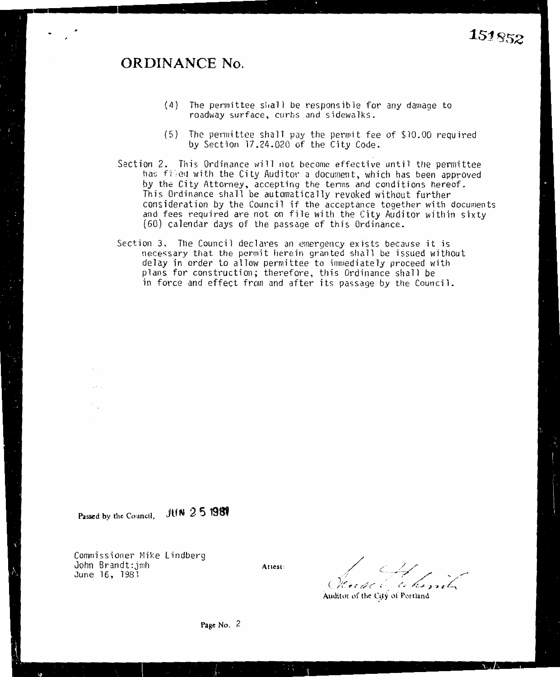## **ORDINANCE No.**

- (4) The perrnittee sl;all be responsible for any damage to roadway surface, curbs and sidewalks.
- (5) The permittee shall pay the permit fee of \$10.00 required by Section 17.24.020 of the City Code.
- Section 2. This Ordinance will not become effective until the permittee has filed with the City Auditor a document, which has been approved *by* the City Attorney, accepting the terms and conditions hereof. This Ordinance shall be automatically revoked without further consideration *by* the Council if the acceptance together with documents and fees required are not on file with the City Auditor within sixty {60) calendar days of the passage of this Ordinance.
- Section 3. The Council declares an emergency exists because it is necessary that the permit herein granted shall be issued without delay in order to allow permittee to imnediately proceed with plans for construction; therefore, this Ordinance shall be in force and effect from and after its passage by the Council.

**Passed by the Council, JUH 2 5 198'** 

 $\epsilon_{\rm in} \simeq 0.1$ 

Commissioner Mike Lindberg John Brandt:jmh June 16, 1981

**Attest:** / / \_// ,l -- - -~~-7 *:/ \_\_ /,-* . ( .,. .. *i* - ; .' *:-;,,,· ('* , *("'* • */,:\_* ,#. **-6** *<sup>I</sup>*L,

**Auditor** of the C\_i}Y of Portland